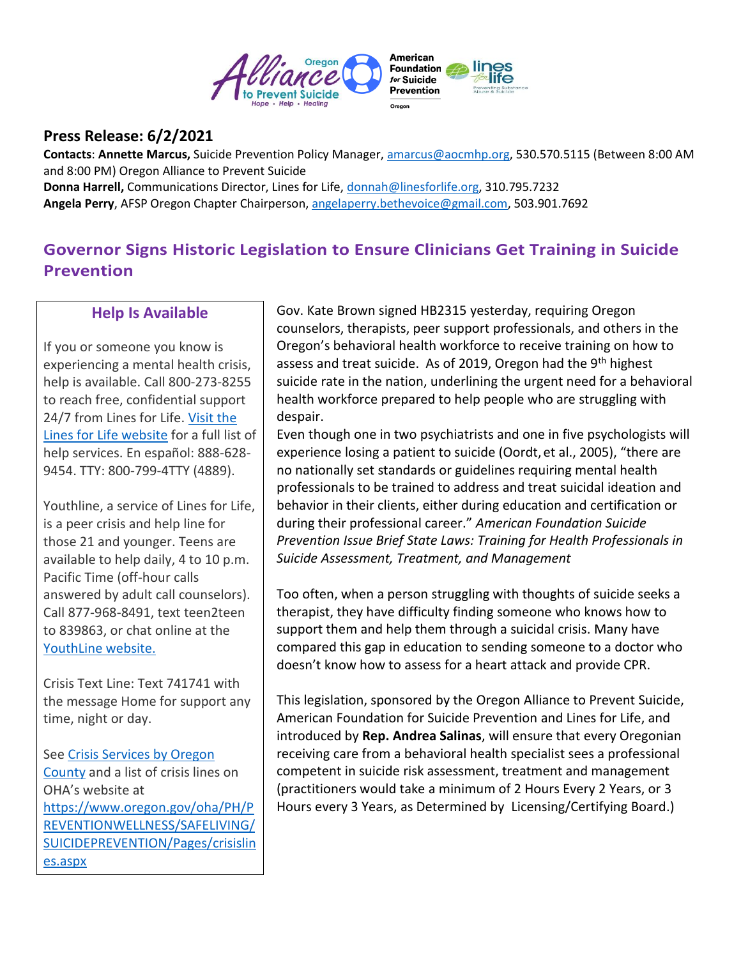

## **Press Release: 6/2/2021**

**Contacts**: **Annette Marcus,** Suicide Prevention Policy Manager, [amarcus@aocmhp.org,](mailto:amarcus@aocmhp.org) 530.570.5115 (Between 8:00 AM and 8:00 PM) Oregon Alliance to Prevent Suicide

**Donna Harrell,** Communications Director, Lines for Life[, donnah@linesforlife.org,](mailto:donnah@linesforlife.org) 310.795.7232 **Angela Perry**, AFSP Oregon Chapter Chairperson, [angelaperry.bethevoice@gmail.com,](mailto:angelaperry.bethevoice@gmail.com) 503.901.7692

# **Governor Signs Historic Legislation to Ensure Clinicians Get Training in Suicide Prevention**

## **Help Is Available**

If you or someone you know is experiencing a mental health crisis, help is available. Call 800-273-8255 to reach free, confidential support 24/7 from Lines for Life. [Visit the](https://www.linesforlife.org/)  [Lines for Life website](https://www.linesforlife.org/) for a full list of help services. En español: 888-628- 9454. TTY: 800-799-4TTY (4889).

Youthline, a service of Lines for Life, is a peer crisis and help line for those 21 and younger. Teens are available to help daily, 4 to 10 p.m. Pacific Time (off-hour calls answered by adult call counselors). Call 877-968-8491, text teen2teen to 839863, or chat online at the [YouthLine website.](http://www.oregonyouthline.org/)

Crisis Text Line: Text 741741 with the message Home for support any time, night or day.

See [Crisis Services by Oregon](https://www.oregon.gov/oha/ph/PreventionWellness/SafeLiving/SuicidePrevention/Pages/crisislines.aspx)  [County](https://www.oregon.gov/oha/ph/PreventionWellness/SafeLiving/SuicidePrevention/Pages/crisislines.aspx) and a list of crisis lines on OHA's website at [https://www.oregon.gov/oha/PH/P](https://www.oregon.gov/oha/PH/PREVENTIONWELLNESS/SAFELIVING/SUICIDEPREVENTION/Pages/crisislines.aspx) [REVENTIONWELLNESS/SAFELIVING/](https://www.oregon.gov/oha/PH/PREVENTIONWELLNESS/SAFELIVING/SUICIDEPREVENTION/Pages/crisislines.aspx) [SUICIDEPREVENTION/Pages/crisislin](https://www.oregon.gov/oha/PH/PREVENTIONWELLNESS/SAFELIVING/SUICIDEPREVENTION/Pages/crisislines.aspx) [es.aspx](https://www.oregon.gov/oha/PH/PREVENTIONWELLNESS/SAFELIVING/SUICIDEPREVENTION/Pages/crisislines.aspx)

Gov. Kate Brown signed HB2315 yesterday, requiring Oregon counselors, therapists, peer support professionals, and others in the Oregon's behavioral health workforce to receive training on how to assess and treat suicide. As of 2019, Oregon had the 9<sup>th</sup> highest suicide rate in the nation, underlining the urgent need for a behavioral health workforce prepared to help people who are struggling with despair.

Even though one in two psychiatrists and one in five psychologists will experience losing a patient to suicide (Oordt, et al., 2005), "there are no nationally set standards or guidelines requiring mental health professionals to be trained to address and treat suicidal ideation and behavior in their clients, either during education and certification or during their professional career." *American Foundation Suicide Prevention Issue Brief State Laws: Training for Health Professionals in Suicide Assessment, Treatment, and Management*

Too often, when a person struggling with thoughts of suicide seeks a therapist, they have difficulty finding someone who knows how to support them and help them through a suicidal crisis. Many have compared this gap in education to sending someone to a doctor who doesn't know how to assess for a heart attack and provide CPR.

This legislation, sponsored by the Oregon Alliance to Prevent Suicide, American Foundation for Suicide Prevention and Lines for Life, and introduced by **Rep. Andrea Salinas**, will ensure that every Oregonian receiving care from a behavioral health specialist sees a professional competent in suicide risk assessment, treatment and management (practitioners would take a minimum of 2 Hours Every 2 Years, or 3 Hours every 3 Years, as Determined by Licensing/Certifying Board.)